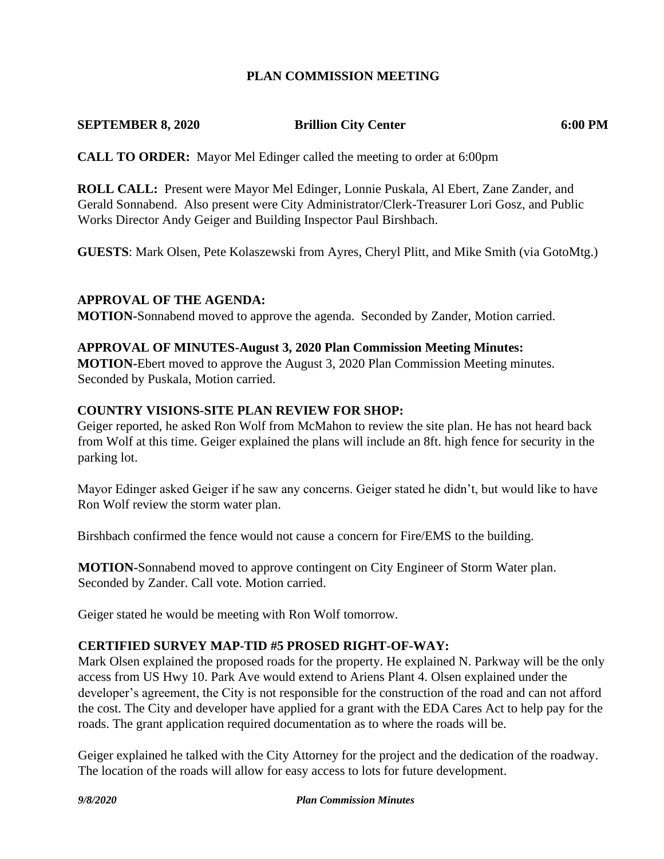## **PLAN COMMISSION MEETING**

#### **SEPTEMBER 8, 2020 Brillion City Center 6:00 PM**

**CALL TO ORDER:** Mayor Mel Edinger called the meeting to order at 6:00pm

**ROLL CALL:** Present were Mayor Mel Edinger, Lonnie Puskala, Al Ebert, Zane Zander, and Gerald Sonnabend. Also present were City Administrator/Clerk-Treasurer Lori Gosz, and Public Works Director Andy Geiger and Building Inspector Paul Birshbach.

**GUESTS**: Mark Olsen, Pete Kolaszewski from Ayres, Cheryl Plitt, and Mike Smith (via GotoMtg.)

#### **APPROVAL OF THE AGENDA:**

**MOTION-**Sonnabend moved to approve the agenda. Seconded by Zander, Motion carried.

#### **APPROVAL OF MINUTES-August 3, 2020 Plan Commission Meeting Minutes:**

**MOTION-**Ebert moved to approve the August 3, 2020 Plan Commission Meeting minutes. Seconded by Puskala, Motion carried.

#### **COUNTRY VISIONS-SITE PLAN REVIEW FOR SHOP:**

Geiger reported, he asked Ron Wolf from McMahon to review the site plan. He has not heard back from Wolf at this time. Geiger explained the plans will include an 8ft. high fence for security in the parking lot.

Mayor Edinger asked Geiger if he saw any concerns. Geiger stated he didn't, but would like to have Ron Wolf review the storm water plan.

Birshbach confirmed the fence would not cause a concern for Fire/EMS to the building.

**MOTION-**Sonnabend moved to approve contingent on City Engineer of Storm Water plan. Seconded by Zander. Call vote. Motion carried.

Geiger stated he would be meeting with Ron Wolf tomorrow.

### **CERTIFIED SURVEY MAP-TID #5 PROSED RIGHT-OF-WAY:**

Mark Olsen explained the proposed roads for the property. He explained N. Parkway will be the only access from US Hwy 10. Park Ave would extend to Ariens Plant 4. Olsen explained under the developer's agreement, the City is not responsible for the construction of the road and can not afford the cost. The City and developer have applied for a grant with the EDA Cares Act to help pay for the roads. The grant application required documentation as to where the roads will be.

Geiger explained he talked with the City Attorney for the project and the dedication of the roadway. The location of the roads will allow for easy access to lots for future development.